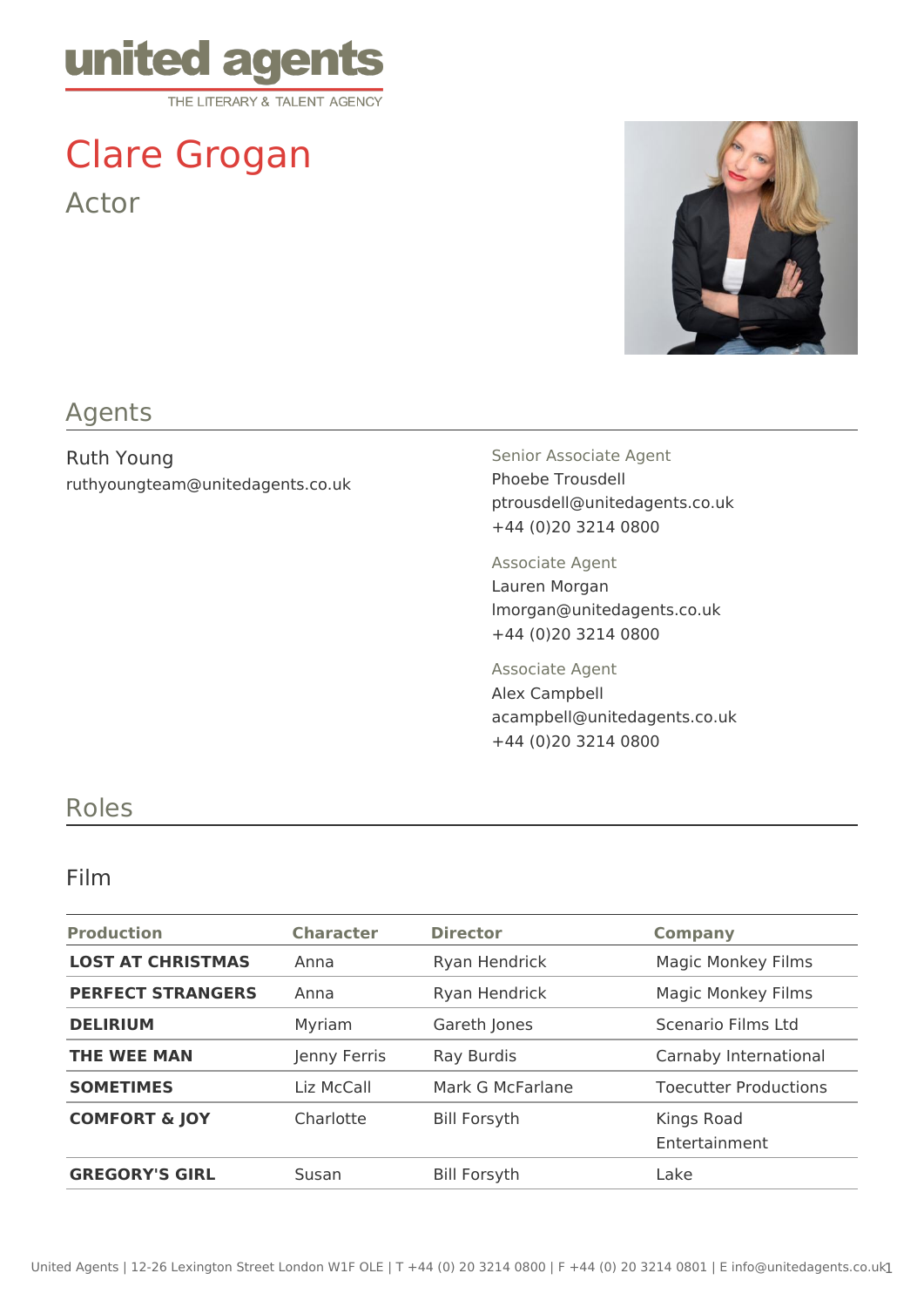

# Clare Grogan Actor



## Agents

Ruth Young ruthyoungteam@unitedagents.co.uk Senior Associate Agent Phoebe Trousdell ptrousdell@unitedagents.co.uk +44 (0)20 3214 0800

Associate Agent Lauren Morgan lmorgan@unitedagents.co.uk +44 (0)20 3214 0800

Associate Agent Alex Campbell acampbell@unitedagents.co.uk +44 (0)20 3214 0800

### Roles

#### Film

| <b>Production</b>        | <b>Character</b> | <b>Director</b>     | <b>Company</b>               |
|--------------------------|------------------|---------------------|------------------------------|
| <b>LOST AT CHRISTMAS</b> | Anna             | Ryan Hendrick       | <b>Magic Monkey Films</b>    |
| <b>PERFECT STRANGERS</b> | Anna             | Ryan Hendrick       | <b>Magic Monkey Films</b>    |
| <b>DELIRIUM</b>          | Myriam           | Gareth Jones        | Scenario Films Ltd           |
| <b>THE WEE MAN</b>       | Jenny Ferris     | Ray Burdis          | Carnaby International        |
| <b>SOMETIMES</b>         | Liz McCall       | Mark G McFarlane    | <b>Toecutter Productions</b> |
| <b>COMFORT &amp; JOY</b> | Charlotte        | <b>Bill Forsyth</b> | Kings Road<br>Entertainment  |
| <b>GREGORY'S GIRL</b>    | Susan            | <b>Bill Forsyth</b> | Lake                         |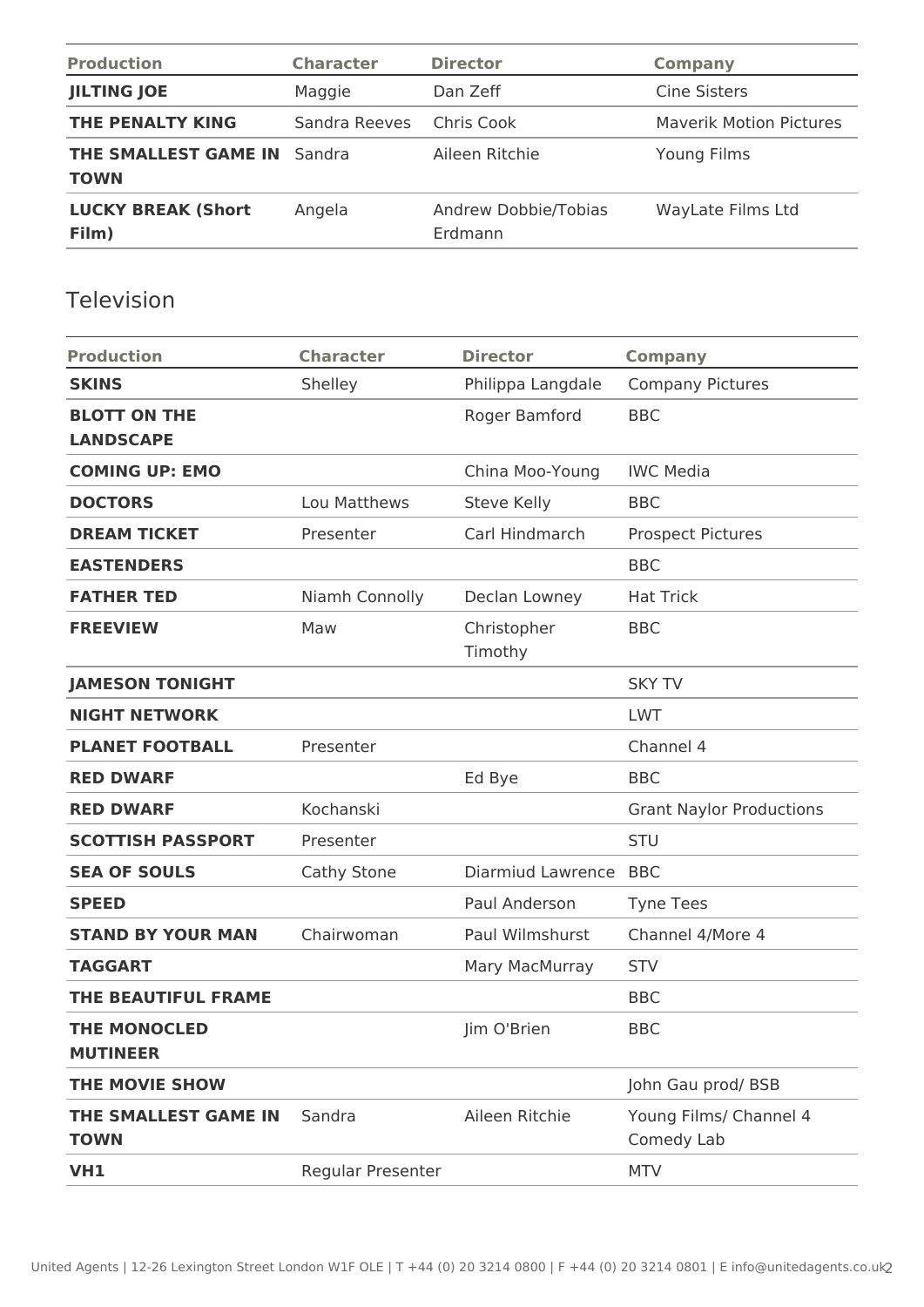| <b>Production</b>                                 | <b>Character</b> | <b>Director</b>                 | <b>Company</b>                 |
|---------------------------------------------------|------------------|---------------------------------|--------------------------------|
| <b>JILTING JOE</b>                                | Maggie           | Dan Zeff                        | <b>Cine Sisters</b>            |
| THE PENALTY KING                                  | Sandra Reeves    | Chris Cook                      | <b>Maverik Motion Pictures</b> |
| <b>THE SMALLEST GAME IN Sandra</b><br><b>TOWN</b> |                  | Aileen Ritchie                  | Young Films                    |
| <b>LUCKY BREAK (Short</b><br>Film)                | Angela           | Andrew Dobbie/Tobias<br>Erdmann | WayLate Films Ltd              |

## Television

| <b>Production</b>                       | <b>Character</b>  | <b>Director</b>        | <b>Company</b>                       |
|-----------------------------------------|-------------------|------------------------|--------------------------------------|
| <b>SKINS</b>                            | Shelley           | Philippa Langdale      | <b>Company Pictures</b>              |
| <b>BLOTT ON THE</b><br><b>LANDSCAPE</b> |                   | Roger Bamford          | <b>BBC</b>                           |
| <b>COMING UP: EMO</b>                   |                   | China Moo-Young        | <b>IWC Media</b>                     |
| <b>DOCTORS</b>                          | Lou Matthews      | <b>Steve Kelly</b>     | <b>BBC</b>                           |
| <b>DREAM TICKET</b>                     | Presenter         | Carl Hindmarch         | <b>Prospect Pictures</b>             |
| <b>EASTENDERS</b>                       |                   |                        | <b>BBC</b>                           |
| <b>FATHER TED</b>                       | Niamh Connolly    | Declan Lowney          | <b>Hat Trick</b>                     |
| <b>FREEVIEW</b>                         | Maw               | Christopher<br>Timothy | <b>BBC</b>                           |
| <b>JAMESON TONIGHT</b>                  |                   |                        | <b>SKY TV</b>                        |
| <b>NIGHT NETWORK</b>                    |                   |                        | <b>LWT</b>                           |
| <b>PLANET FOOTBALL</b>                  | Presenter         |                        | Channel 4                            |
| <b>RED DWARF</b>                        |                   | Ed Bye                 | <b>BBC</b>                           |
| <b>RED DWARF</b>                        | Kochanski         |                        | <b>Grant Naylor Productions</b>      |
| <b>SCOTTISH PASSPORT</b>                | Presenter         |                        | <b>STU</b>                           |
| <b>SEA OF SOULS</b>                     | Cathy Stone       | Diarmiud Lawrence      | <b>BBC</b>                           |
| <b>SPEED</b>                            |                   | Paul Anderson          | <b>Tyne Tees</b>                     |
| <b>STAND BY YOUR MAN</b>                | Chairwoman        | Paul Wilmshurst        | Channel 4/More 4                     |
| <b>TAGGART</b>                          |                   | Mary MacMurray         | <b>STV</b>                           |
| <b>THE BEAUTIFUL FRAME</b>              |                   |                        | <b>BBC</b>                           |
| <b>THE MONOCLED</b><br><b>MUTINEER</b>  |                   | Jim O'Brien            | <b>BBC</b>                           |
| <b>THE MOVIE SHOW</b>                   |                   |                        | John Gau prod/BSB                    |
| THE SMALLEST GAME IN<br><b>TOWN</b>     | Sandra            | Aileen Ritchie         | Young Films/ Channel 4<br>Comedy Lab |
| VH1                                     | Regular Presenter |                        | <b>MTV</b>                           |